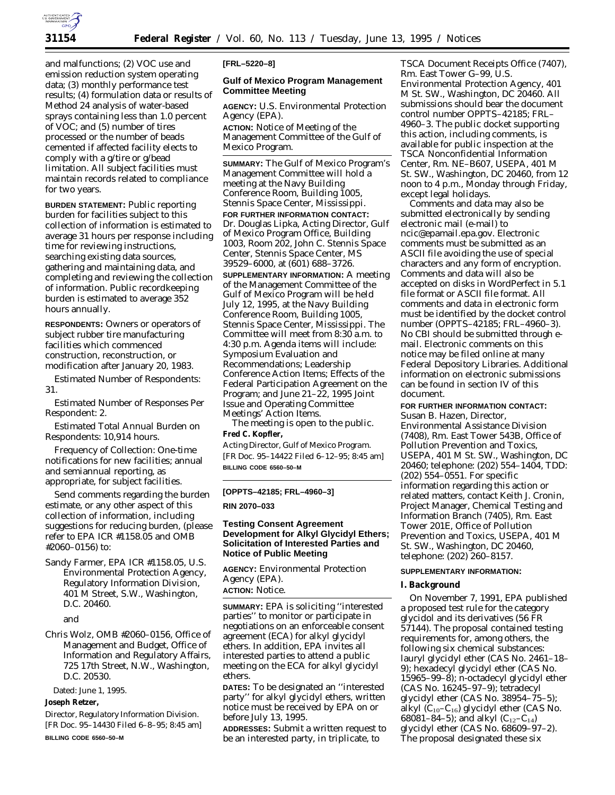

and malfunctions; (2) VOC use and emission reduction system operating data; (3) monthly performance test results; (4) formulation data or results of Method 24 analysis of water-based sprays containing less than 1.0 percent of VOC; and (5) number of tires processed or the number of beads cemented if affected facility elects to comply with a g/tire or g/bead limitation. All subject facilities must maintain records related to compliance for two years.

**BURDEN STATEMENT:** Public reporting burden for facilities subject to this collection of information is estimated to average 31 hours per response including time for reviewing instructions, searching existing data sources, gathering and maintaining data, and completing and reviewing the collection of information. Public recordkeeping burden is estimated to average 352 hours annually.

**RESPONDENTS:** Owners or operators of subject rubber tire manufacturing facilities which commenced construction, reconstruction, or modification after January 20, 1983.

*Estimated Number of Respondents:* 31.

*Estimated Number of Responses Per Respondent:* 2.

*Estimated Total Annual Burden on Respondents:* 10,914 hours.

*Frequency of Collection:* One-time notifications for new facilities; annual and semiannual reporting, as appropriate, for subject facilities.

Send comments regarding the burden estimate, or any other aspect of this collection of information, including suggestions for reducing burden, (please refer to EPA ICR #1158.05 and OMB #2060–0156) to:

Sandy Farmer, EPA ICR #1158.05, U.S. Environmental Protection Agency, Regulatory Information Division, 401 M Street, S.W., Washington, D.C. 20460.

and

Chris Wolz, OMB #2060–0156, Office of Management and Budget, Office of Information and Regulatory Affairs, 725 17th Street, N.W., Washington, D.C. 20530.

Dated: June 1, 1995.

### **Joseph Retzer,**

*Director, Regulatory Information Division.* [FR Doc. 95–14430 Filed 6–8–95; 8:45 am] **BILLING CODE 6560–50–M**

#### **[FRL–5220–8]**

# **Gulf of Mexico Program Management Committee Meeting**

**AGENCY:** U.S. Environmental Protection Agency (EPA).

**ACTION:** Notice of Meeting of the Management Committee of the Gulf of Mexico Program.

**SUMMARY:** The Gulf of Mexico Program's Management Committee will hold a meeting at the Navy Building Conference Room, Building 1005, Stennis Space Center, Mississippi. **FOR FURTHER INFORMATION CONTACT:** Dr. Douglas Lipka, Acting Director, Gulf of Mexico Program Office, Building 1003, Room 202, John C. Stennis Space Center, Stennis Space Center, MS 39529–6000, at (601) 688–3726.

**SUPPLEMENTARY INFORMATION:** A meeting of the Management Committee of the Gulf of Mexico Program will be held July 12, 1995, at the Navy Building Conference Room, Building 1005, Stennis Space Center, Mississippi. The Committee will meet from 8:30 a.m. to 4:30 p.m. Agenda items will include: Symposium Evaluation and Recommendations; Leadership Conference Action Items; Effects of the Federal Participation Agreement on the Program; and June 21–22, 1995 Joint Issue and Operating Committee Meetings' Action Items.

The meeting is open to the public.

### **Fred C. Kopfler,**

*Acting Director, Gulf of Mexico Program.* [FR Doc. 95–14422 Filed 6–12–95; 8:45 am] **BILLING CODE 6560–50–M**

#### **[OPPTS–42185; FRL–4960–3]**

**RIN 2070–033**

# **Testing Consent Agreement Development for Alkyl Glycidyl Ethers; Solicitation of Interested Parties and Notice of Public Meeting**

**AGENCY:** Environmental Protection Agency (EPA). **ACTION:** Notice.

**SUMMARY:** EPA is soliciting ''interested parties'' to monitor or participate in negotiations on an enforceable consent agreement (ECA) for alkyl glycidyl ethers. In addition, EPA invites all interested parties to attend a public meeting on the ECA for alkyl glycidyl ethers.

**DATES:** To be designated an ''interested party'' for alkyl glycidyl ethers, written notice must be received by EPA on or before July 13, 1995.

**ADDRESSES:** Submit a written request to be an interested party, in triplicate, to

TSCA Document Receipts Office (7407), Rm. East Tower G–99, U.S. Environmental Protection Agency, 401 M St. SW., Washington, DC 20460. All submissions should bear the document control number OPPTS–42185; FRL– 4960–3. The public docket supporting this action, including comments, is available for public inspection at the TSCA Nonconfidential Information Center, Rm. NE–B607, USEPA, 401 M St. SW., Washington, DC 20460, from 12 noon to 4 p.m., Monday through Friday, except legal holidays.

Comments and data may also be submitted electronically by sending electronic mail (e-mail) to ncic@epamail.epa.gov. Electronic comments must be submitted as an ASCII file avoiding the use of special characters and any form of encryption. Comments and data will also be accepted on disks in WordPerfect in 5.1 file format or ASCII file format. All comments and data in electronic form must be identified by the docket control number (OPPTS–42185; FRL–4960–3). No CBI should be submitted through email. Electronic comments on this notice may be filed online at many Federal Depository Libraries. Additional information on electronic submissions can be found in section IV of this document.

# **FOR FURTHER INFORMATION CONTACT:**

Susan B. Hazen, Director, Environmental Assistance Division (7408), Rm. East Tower 543B, Office of Pollution Prevention and Toxics, USEPA, 401 M St. SW., Washington, DC 20460; telephone: (202) 554–1404, TDD: (202) 554–0551. For specific information regarding this action or related matters, contact Keith J. Cronin, Project Manager, Chemical Testing and Information Branch (7405), Rm. East Tower 201E, Office of Pollution Prevention and Toxics, USEPA, 401 M St. SW., Washington, DC 20460, telephone: (202) 260–8157.

#### **SUPPLEMENTARY INFORMATION:**

### **I. Background**

On November 7, 1991, EPA published a proposed test rule for the category glycidol and its derivatives (56 FR 57144). The proposal contained testing requirements for, among others, the following six chemical substances: lauryl glycidyl ether (CAS No. 2461–18– 9); hexadecyl glycidyl ether (CAS No. 15965–99–8); *n*-octadecyl glycidyl ether (CAS No. 16245–97–9); tetradecyl glycidyl ether (CAS No. 38954–75–5); alkyl  $(C_{10}-C_{16})$  glycidyl ether (CAS No. 68081–84–5); and alkyl  $(C_{12}-C_{14})$ glycidyl ether (CAS No. 68609–97–2). The proposal designated these six